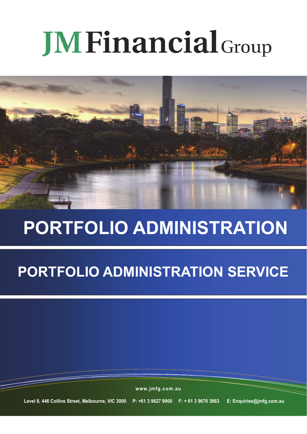# **JM Financial Group**



## **PORTFOLIO ADMINISTRATION**

### **PORTFOLIO ADMINISTRATION SERVICE**

**www.jmfg.com.au**

**Level 8, 446 Collins Street, Melbourne, VIC 3000 P: +61 3 9627 9900 F: + 61 3 9670 3863 E: Enquiries@jmfg.com.au**